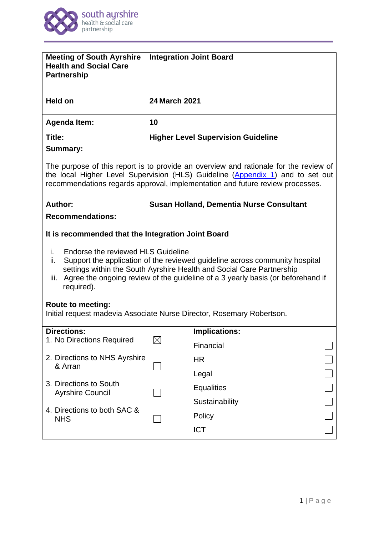

| <b>Meeting of South Ayrshire</b><br><b>Health and Social Care</b><br><b>Partnership</b>                                                                                                                                                                                                                                                                                | <b>Integration Joint Board</b>                  |                      |  |
|------------------------------------------------------------------------------------------------------------------------------------------------------------------------------------------------------------------------------------------------------------------------------------------------------------------------------------------------------------------------|-------------------------------------------------|----------------------|--|
| <b>Held on</b>                                                                                                                                                                                                                                                                                                                                                         | <b>24 March 2021</b>                            |                      |  |
| <b>Agenda Item:</b>                                                                                                                                                                                                                                                                                                                                                    | 10                                              |                      |  |
| Title:                                                                                                                                                                                                                                                                                                                                                                 | <b>Higher Level Supervision Guideline</b>       |                      |  |
| <b>Summary:</b>                                                                                                                                                                                                                                                                                                                                                        |                                                 |                      |  |
| The purpose of this report is to provide an overview and rationale for the review of<br>the local Higher Level Supervision (HLS) Guideline (Appendix 1) and to set out<br>recommendations regards approval, implementation and future review processes.                                                                                                                |                                                 |                      |  |
| Author:                                                                                                                                                                                                                                                                                                                                                                | <b>Susan Holland, Dementia Nurse Consultant</b> |                      |  |
| <b>Recommendations:</b>                                                                                                                                                                                                                                                                                                                                                |                                                 |                      |  |
| It is recommended that the Integration Joint Board<br>Endorse the reviewed HLS Guideline<br>i.<br>Support the application of the reviewed guideline across community hospital<br>ii.<br>settings within the South Ayrshire Health and Social Care Partnership<br>Agree the ongoing review of the guideline of a 3 yearly basis (or beforehand if<br>iii.<br>required). |                                                 |                      |  |
| <b>Route to meeting:</b><br>Initial request madevia Associate Nurse Director, Rosemary Robertson.                                                                                                                                                                                                                                                                      |                                                 |                      |  |
| <b>Directions:</b>                                                                                                                                                                                                                                                                                                                                                     |                                                 | <b>Implications:</b> |  |
| 1. No Directions Required                                                                                                                                                                                                                                                                                                                                              | $\times$                                        | Financial            |  |
| 2. Directions to NHS Ayrshire<br>& Arran                                                                                                                                                                                                                                                                                                                               |                                                 | <b>HR</b>            |  |
|                                                                                                                                                                                                                                                                                                                                                                        |                                                 | Legal                |  |
| 3. Directions to South<br><b>Ayrshire Council</b>                                                                                                                                                                                                                                                                                                                      |                                                 | <b>Equalities</b>    |  |
| 4. Directions to both SAC &<br><b>NHS</b>                                                                                                                                                                                                                                                                                                                              |                                                 | Sustainability       |  |
|                                                                                                                                                                                                                                                                                                                                                                        |                                                 | Policy               |  |
|                                                                                                                                                                                                                                                                                                                                                                        |                                                 | <b>ICT</b>           |  |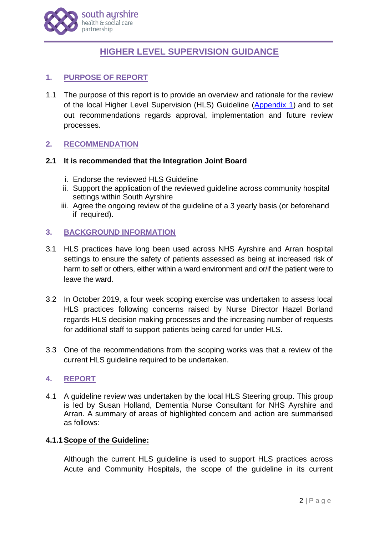

# **HIGHER LEVEL SUPERVISION GUIDANCE**

# **1. PURPOSE OF REPORT**

1.1 The purpose of this report is to provide an overview and rationale for the review of the local Higher Level Supervision (HLS) Guideline [\(Appendix 1\)](http://www.south-ayrshire.gov.uk/health-social-care-partnership/documents/Item%2010%20-%20HLS%20IJB%202021%2003%2024%20App%201.pdf) and to set out recommendations regards approval, implementation and future review processes.

# **2. RECOMMENDATION**

#### **2.1 It is recommended that the Integration Joint Board**

- i. Endorse the reviewed HLS Guideline
- ii. Support the application of the reviewed guideline across community hospital settings within South Ayrshire
- iii. Agree the ongoing review of the guideline of a 3 yearly basis (or beforehand if required).

## **3. BACKGROUND INFORMATION**

- 3.1 HLS practices have long been used across NHS Ayrshire and Arran hospital settings to ensure the safety of patients assessed as being at increased risk of harm to self or others, either within a ward environment and or/if the patient were to leave the ward.
- 3.2 In October 2019, a four week scoping exercise was undertaken to assess local HLS practices following concerns raised by Nurse Director Hazel Borland regards HLS decision making processes and the increasing number of requests for additional staff to support patients being cared for under HLS.
- 3.3 One of the recommendations from the scoping works was that a review of the current HLS guideline required to be undertaken.

## **4. REPORT**

4.1 A guideline review was undertaken by the local HLS Steering group. This group is led by Susan Holland, Dementia Nurse Consultant for NHS Ayrshire and Arran. A summary of areas of highlighted concern and action are summarised as follows:

#### **4.1.1Scope of the Guideline:**

Although the current HLS guideline is used to support HLS practices across Acute and Community Hospitals, the scope of the guideline in its current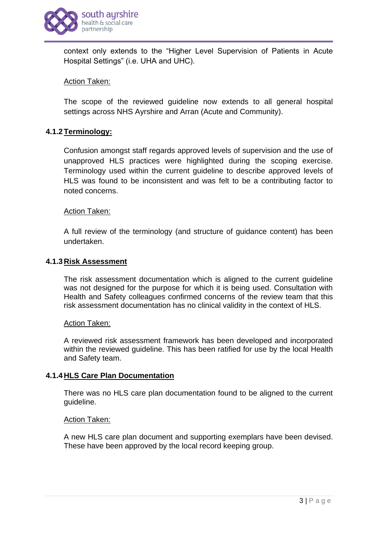

context only extends to the "Higher Level Supervision of Patients in Acute Hospital Settings" (i.e. UHA and UHC).

## Action Taken:

The scope of the reviewed guideline now extends to all general hospital settings across NHS Ayrshire and Arran (Acute and Community).

#### **4.1.2Terminology:**

Confusion amongst staff regards approved levels of supervision and the use of unapproved HLS practices were highlighted during the scoping exercise. Terminology used within the current guideline to describe approved levels of HLS was found to be inconsistent and was felt to be a contributing factor to noted concerns.

#### Action Taken:

A full review of the terminology (and structure of guidance content) has been undertaken.

#### **4.1.3Risk Assessment**

The risk assessment documentation which is aligned to the current guideline was not designed for the purpose for which it is being used. Consultation with Health and Safety colleagues confirmed concerns of the review team that this risk assessment documentation has no clinical validity in the context of HLS.

#### Action Taken:

A reviewed risk assessment framework has been developed and incorporated within the reviewed guideline. This has been ratified for use by the local Health and Safety team.

#### **4.1.4HLS Care Plan Documentation**

There was no HLS care plan documentation found to be aligned to the current guideline.

#### Action Taken:

A new HLS care plan document and supporting exemplars have been devised. These have been approved by the local record keeping group.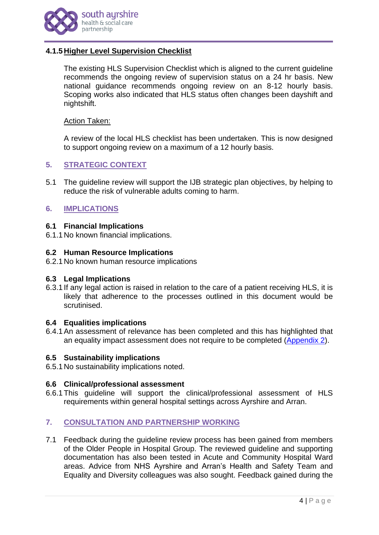

## **4.1.5Higher Level Supervision Checklist**

The existing HLS Supervision Checklist which is aligned to the current guideline recommends the ongoing review of supervision status on a 24 hr basis. New national guidance recommends ongoing review on an 8-12 hourly basis. Scoping works also indicated that HLS status often changes been dayshift and nightshift.

#### Action Taken:

A review of the local HLS checklist has been undertaken. This is now designed to support ongoing review on a maximum of a 12 hourly basis.

## **5. STRATEGIC CONTEXT**

5.1 The guideline review will support the IJB strategic plan objectives, by helping to reduce the risk of vulnerable adults coming to harm.

#### **6. IMPLICATIONS**

#### **6.1 Financial Implications**

6.1.1No known financial implications.

#### **6.2 Human Resource Implications**

6.2.1No known human resource implications

#### **6.3 Legal Implications**

6.3.1 If any legal action is raised in relation to the care of a patient receiving HLS, it is likely that adherence to the processes outlined in this document would be scrutinised.

#### **6.4 Equalities implications**

6.4.1An assessment of relevance has been completed and this has highlighted that an equality impact assessment does not require to be completed [\(Appendix 2\)](http://www.south-ayrshire.gov.uk/health-social-care-partnership/documents/Item%2010%20-%20HLS%20IJB%202021%2003%2024%20App%202.pdf).

#### **6.5 Sustainability implications**

6.5.1No sustainability implications noted.

#### **6.6 Clinical/professional assessment**

6.6.1This guideline will support the clinical/professional assessment of HLS requirements within general hospital settings across Ayrshire and Arran.

#### **7. CONSULTATION AND PARTNERSHIP WORKING**

7.1 Feedback during the guideline review process has been gained from members of the Older People in Hospital Group. The reviewed guideline and supporting documentation has also been tested in Acute and Community Hospital Ward areas. Advice from NHS Ayrshire and Arran's Health and Safety Team and Equality and Diversity colleagues was also sought. Feedback gained during the